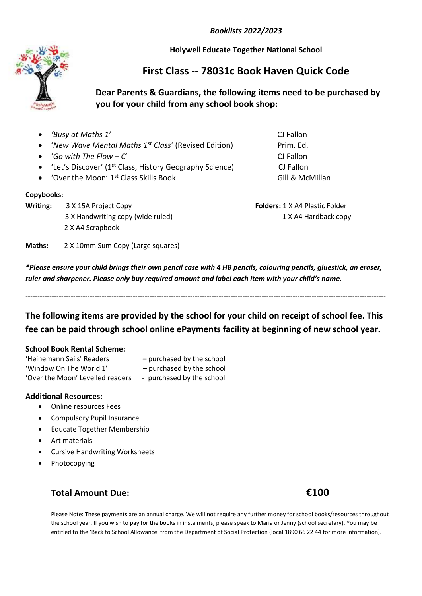*Booklists 2022/2023*

**Holywell Educate Together National School**

# **First Class -- 78031c Book Haven Quick Code**

## **Dear Parents & Guardians, the following items need to be purchased by you for your child from any school book shop:**

 *'Busy at Maths 1'* CJ Fallon • '*New Wave Mental Maths 1<sup>st</sup> Class'* (Revised Edition) Prim. Ed. '*Go with The Flow – C*' CJ Fallon • 'Let's Discover' (1<sup>st</sup> Class, History Geography Science) CJ Fallon • 'Over the Moon' 1<sup>st</sup> Class Skills Book Gill & McMillan **Copybooks: Writing:**  $3 \times 15A$  Project Copy **Folders:** 1 X A4 Plastic Folder 3 X Handwriting copy (wide ruled) 1 X A4 Hardback copy 2 X A4 Scrapbook **Maths:** 2 X 10mm Sum Copy (Large squares)

*\*Please ensure your child brings their own pencil case with 4 HB pencils, colouring pencils, gluestick, an eraser, ruler and sharpener. Please only buy required amount and label each item with your child's name.*

**The following items are provided by the school for your child on receipt of school fee. This fee can be paid through school online ePayments facility at beginning of new school year.**

-------------------------------------------------------------------------------------------------------------------------------------------------------

#### **School Book Rental Scheme:**

| 'Heinemann Sails' Readers        | - purchased by the school |
|----------------------------------|---------------------------|
| 'Window On The World 1'          | - purchased by the school |
| 'Over the Moon' Levelled readers | - purchased by the school |

### **Additional Resources:**

- Online resources Fees
- **•** Compulsory Pupil Insurance
- **•** Educate Together Membership
- Art materials
- Cursive Handwriting Worksheets
- Photocopying

## **Total Amount Due: €100**

Please Note: These payments are an annual charge. We will not require any further money for school books/resources throughout the school year. If you wish to pay for the books in instalments, please speak to Maria or Jenny (school secretary). You may be entitled to the 'Back to School Allowance' from the Department of Social Protection (local 1890 66 22 44 for more information).